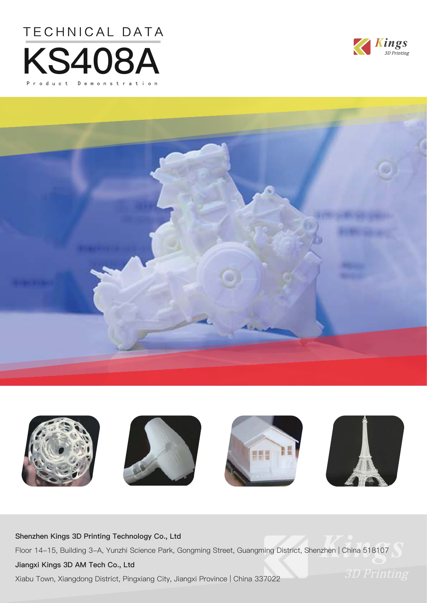







### **Shenzhen Kings 3D Printing Technology Co., Ltd**

Floor 14-15, Building 3-A, Yunzhi Science Park, Gongming Street, Guangming District, Shenzhen | China 518107

### **Jiangxi Kings 3D AM Tech Co., Ltd**

Xiabu Town, Xiangdong District, Pingxiang City, Jiangxi Province | China 337022